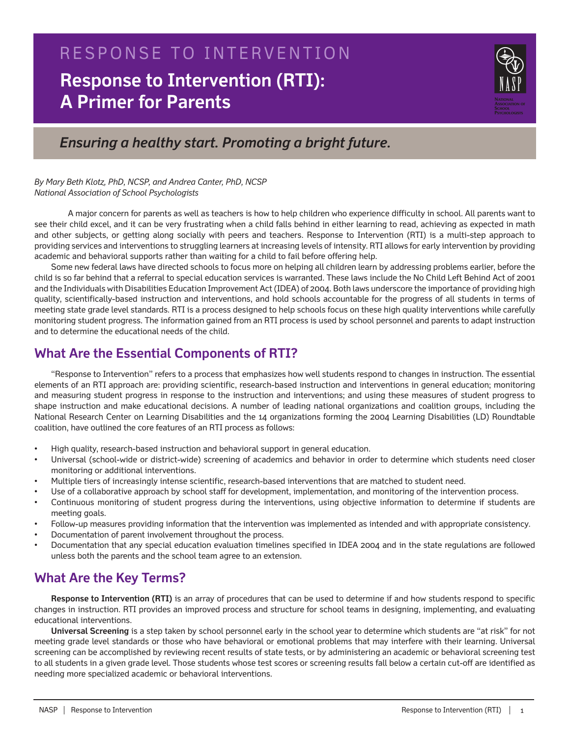# **Response to Intervention (RTI): A Primer for Parents** RESPONSE TO INTERVENTION



*Ensuring a healthy start. Promoting a bright future.*

*By Mary Beth Klotz, PhD, NCSP, and Andrea Canter, PhD, NCSP National Association of School Psychologists*

A major concern for parents as well as teachers is how to help children who experience difficulty in school. All parents want to see their child excel, and it can be very frustrating when a child falls behind in either learning to read, achieving as expected in math and other subjects, or getting along socially with peers and teachers. Response to Intervention (RTI) is a multi-step approach to providing services and interventions to struggling learners at increasing levels of intensity. RTI allows for early intervention by providing academic and behavioral supports rather than waiting for a child to fail before offering help.

Some new federal laws have directed schools to focus more on helping all children learn by addressing problems earlier, before the child is so far behind that a referral to special education services is warranted. These laws include the No Child Left Behind Act of 2001 and the Individuals with Disabilities Education Improvement Act (IDEA) of 2004. Both laws underscore the importance of providing high quality, scientifically-based instruction and interventions, and hold schools accountable for the progress of all students in terms of meeting state grade level standards. RTI is a process designed to help schools focus on these high quality interventions while carefully monitoring student progress. The information gained from an RTI process is used by school personnel and parents to adapt instruction and to determine the educational needs of the child.

## **What Are the Essential Components of RTI?**

"Response to Intervention" refers to a process that emphasizes how well students respond to changes in instruction. The essential elements of an RTI approach are: providing scientific, research-based instruction and interventions in general education; monitoring and measuring student progress in response to the instruction and interventions; and using these measures of student progress to shape instruction and make educational decisions. A number of leading national organizations and coalition groups, including the National Research Center on Learning Disabilities and the 14 organizations forming the 2004 Learning Disabilities (LD) Roundtable coalition, have outlined the core features of an RTI process as follows:

- High quality, research-based instruction and behavioral support in general education.
- Universal (school-wide or district-wide) screening of academics and behavior in order to determine which students need closer monitoring or additional interventions.
- Multiple tiers of increasingly intense scientific, research-based interventions that are matched to student need.
- Use of a collaborative approach by school staff for development, implementation, and monitoring of the intervention process.
- Continuous monitoring of student progress during the interventions, using objective information to determine if students are meeting goals.
- Follow-up measures providing information that the intervention was implemented as intended and with appropriate consistency.
- Documentation of parent involvement throughout the process.
- Documentation that any special education evaluation timelines specified in IDEA 2004 and in the state regulations are followed unless both the parents and the school team agree to an extension.

### **What Are the Key Terms?**

**Response to Intervention (RTI)** is an array of procedures that can be used to determine if and how students respond to specific changes in instruction. RTI provides an improved process and structure for school teams in designing, implementing, and evaluating educational interventions.

**Universal Screening** is a step taken by school personnel early in the school year to determine which students are "at risk" for not meeting grade level standards or those who have behavioral or emotional problems that may interfere with their learning. Universal screening can be accomplished by reviewing recent results of state tests, or by administering an academic or behavioral screening test to all students in a given grade level. Those students whose test scores or screening results fall below a certain cut-off are identified as needing more specialized academic or behavioral interventions.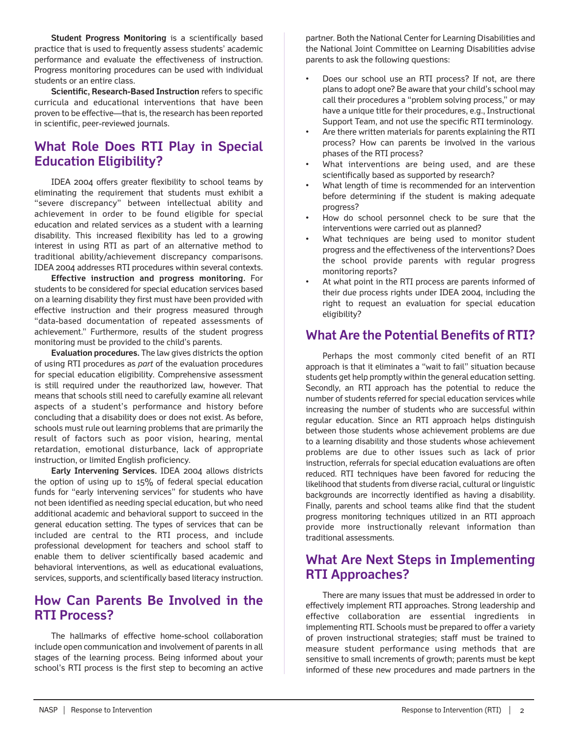**Student Progress Monitoring** is a scientifically based practice that is used to frequently assess students' academic performance and evaluate the effectiveness of instruction. Progress monitoring procedures can be used with individual students or an entire class.

**Scientific, Research-Based Instruction** refers to specific curricula and educational interventions that have been proven to be effective—that is, the research has been reported in scientific, peer-reviewed journals.

# **What Role Does RTI Play in Special Education Eligibility?**

IDEA 2004 offers greater flexibility to school teams by eliminating the requirement that students must exhibit a "severe discrepancy" between intellectual ability and achievement in order to be found eligible for special education and related services as a student with a learning disability. This increased flexibility has led to a growing interest in using RTI as part of an alternative method to traditional ability/achievement discrepancy comparisons. IDEA 2004 addresses RTI procedures within several contexts.

**Effective instruction and progress monitoring.** For students to be considered for special education services based on a learning disability they first must have been provided with effective instruction and their progress measured through "data-based documentation of repeated assessments of achievement." Furthermore, results of the student progress monitoring must be provided to the child's parents.

**Evaluation procedures.** The law gives districts the option of using RTI procedures as *part* of the evaluation procedures for special education eligibility. Comprehensive assessment is still required under the reauthorized law, however. That means that schools still need to carefully examine all relevant aspects of a student's performance and history before concluding that a disability does or does not exist. As before, schools must rule out learning problems that are primarily the result of factors such as poor vision, hearing, mental retardation, emotional disturbance, lack of appropriate instruction, or limited English proficiency.

**Early Intervening Services.** IDEA 2004 allows districts the option of using up to 15% of federal special education funds for "early intervening services" for students who have not been identified as needing special education, but who need additional academic and behavioral support to succeed in the general education setting. The types of services that can be included are central to the RTI process, and include professional development for teachers and school staff to enable them to deliver scientifically based academic and behavioral interventions, as well as educational evaluations, services, supports, and scientifically based literacy instruction.

#### **How Can Parents Be Involved in the RTI Process?**

The hallmarks of effective home-school collaboration include open communication and involvement of parents in all stages of the learning process. Being informed about your school's RTI process is the first step to becoming an active

partner. Both the National Center for Learning Disabilities and the National Joint Committee on Learning Disabilities advise parents to ask the following questions:

- Does our school use an RTI process? If not, are there plans to adopt one? Be aware that your child's school may call their procedures a "problem solving process," or may have a unique title for their procedures, e.g., Instructional Support Team, and not use the specific RTI terminology.
- Are there written materials for parents explaining the RTI process? How can parents be involved in the various phases of the RTI process?
- What interventions are being used, and are these scientifically based as supported by research?
- What length of time is recommended for an intervention before determining if the student is making adequate progress?
- How do school personnel check to be sure that the interventions were carried out as planned?
- What techniques are being used to monitor student progress and the effectiveness of the interventions? Does the school provide parents with regular progress monitoring reports?
- At what point in the RTI process are parents informed of their due process rights under IDEA 2004, including the right to request an evaluation for special education eligibility?

## **What Are the Potential Benefits of RTI?**

Perhaps the most commonly cited benefit of an RTI approach is that it eliminates a "wait to fail" situation because students get help promptly within the general education setting. Secondly, an RTI approach has the potential to reduce the number of students referred for special education services while increasing the number of students who are successful within regular education. Since an RTI approach helps distinguish between those students whose achievement problems are due to a learning disability and those students whose achievement problems are due to other issues such as lack of prior instruction, referrals for special education evaluations are often reduced. RTI techniques have been favored for reducing the likelihood that students from diverse racial, cultural or linguistic backgrounds are incorrectly identified as having a disability. Finally, parents and school teams alike find that the student progress monitoring techniques utilized in an RTI approach provide more instructionally relevant information than traditional assessments.

### **What Are Next Steps in Implementing RTI Approaches?**

There are many issues that must be addressed in order to effectively implement RTI approaches. Strong leadership and effective collaboration are essential ingredients in implementing RTI. Schools must be prepared to offer a variety of proven instructional strategies; staff must be trained to measure student performance using methods that are sensitive to small increments of growth; parents must be kept informed of these new procedures and made partners in the